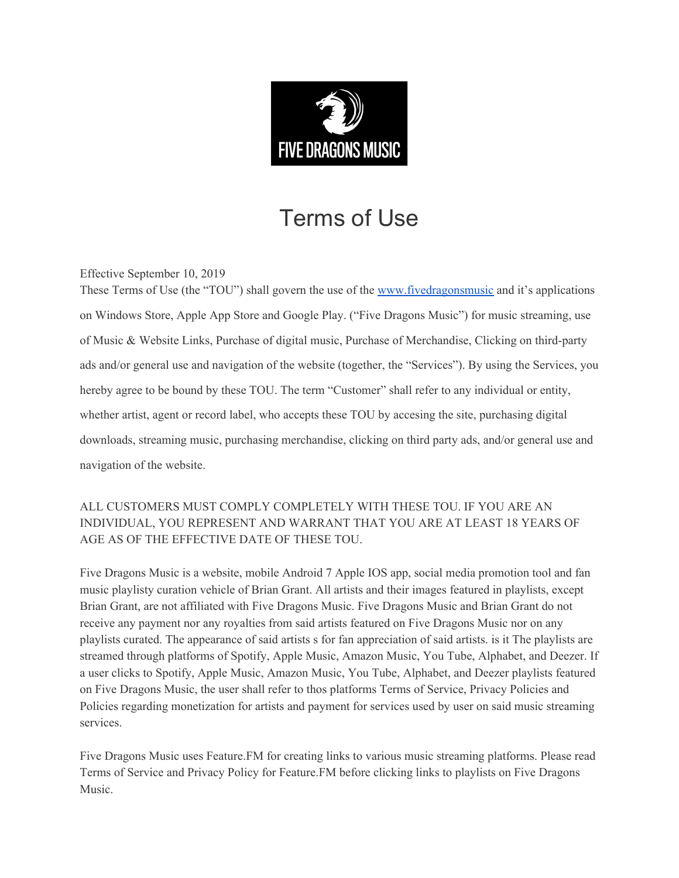

## Terms of Use

Effective September 10, 2019

These Terms of Use (the "TOU") shall govern the use of the [www.fivedragonsmusic](http://www.fivedragonsmusic/) and it's applications on Windows Store, Apple App Store and Google Play. ("Five Dragons Music") for music streaming, use of Music & Website Links, Purchase of digital music, Purchase of Merchandise, Clicking on third-party ads and/or general use and navigation of the website (together, the "Services"). By using the Services, you hereby agree to be bound by these TOU. The term "Customer" shall refer to any individual or entity, whether artist, agent or record label, who accepts these TOU by accesing the site, purchasing digital downloads, streaming music, purchasing merchandise, clicking on third party ads, and/or general use and navigation of the website.

ALL CUSTOMERS MUST COMPLY COMPLETELY WITH THESE TOU. IF YOU ARE AN INDIVIDUAL, YOU REPRESENT AND WARRANT THAT YOU ARE AT LEAST 18 YEARS OF AGE AS OF THE EFFECTIVE DATE OF THESE TOU.

Five Dragons Music is a website, mobile Android 7 Apple IOS app, social media promotion tool and fan music playlisty curation vehicle of Brian Grant. All artists and their images featured in playlists, except Brian Grant, are not affiliated with Five Dragons Music. Five Dragons Music and Brian Grant do not receive any payment nor any royalties from said artists featured on Five Dragons Music nor on any playlists curated. The appearance of said artists s for fan appreciation of said artists. is it The playlists are streamed through platforms of Spotify, Apple Music, Amazon Music, You Tube, Alphabet, and Deezer. If a user clicks to Spotify, Apple Music, Amazon Music, You Tube, Alphabet, and Deezer playlists featured on Five Dragons Music, the user shall refer to thos platforms Terms of Service, Privacy Policies and Policies regarding monetization for artists and payment for services used by user on said music streaming services.

Five Dragons Music uses Feature.FM for creating links to various music streaming platforms. Please read Terms of Service and Privacy Policy for Feature.FM before clicking links to playlists on Five Dragons Music.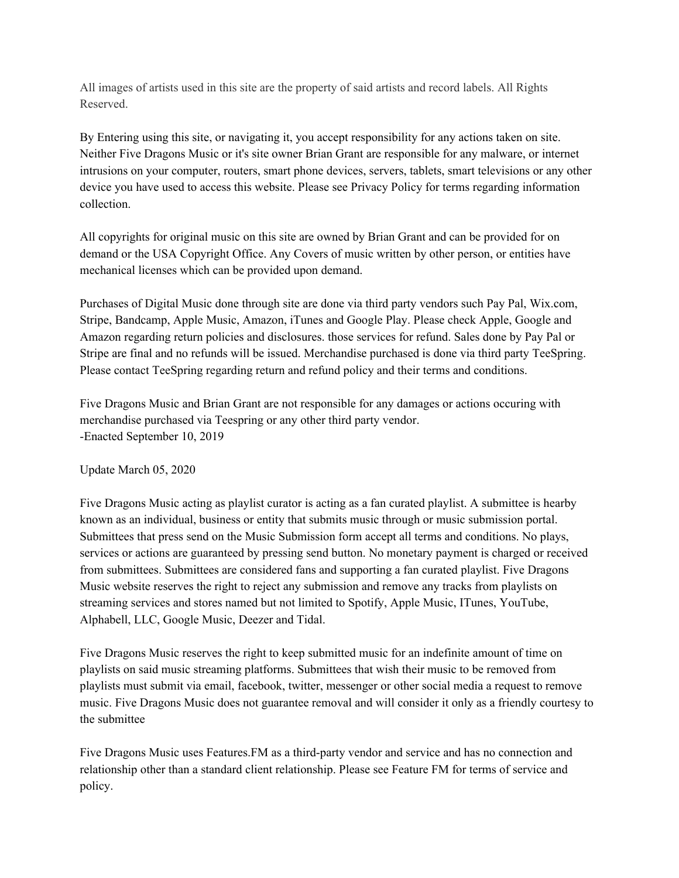All images of artists used in this site are the property of said artists and record labels. All Rights Reserved.

By Entering using this site, or navigating it, you accept responsibility for any actions taken on site. Neither Five Dragons Music or it's site owner Brian Grant are responsible for any malware, or internet intrusions on your computer, routers, smart phone devices, servers, tablets, smart televisions or any other device you have used to access this website. Please see Privacy Policy for terms regarding information collection.

All copyrights for original music on this site are owned by Brian Grant and can be provided for on demand or the USA Copyright Office. Any Covers of music written by other person, or entities have mechanical licenses which can be provided upon demand.

Purchases of Digital Music done through site are done via third party vendors such Pay Pal, Wix.com, Stripe, Bandcamp, Apple Music, Amazon, iTunes and Google Play. Please check Apple, Google and Amazon regarding return policies and disclosures. those services for refund. Sales done by Pay Pal or Stripe are final and no refunds will be issued. Merchandise purchased is done via third party TeeSpring. Please contact TeeSpring regarding return and refund policy and their terms and conditions.

Five Dragons Music and Brian Grant are not responsible for any damages or actions occuring with merchandise purchased via Teespring or any other third party vendor. -Enacted September 10, 2019

## Update March 05, 2020

Five Dragons Music acting as playlist curator is acting as a fan curated playlist. A submittee is hearby known as an individual, business or entity that submits music through or music submission portal. Submittees that press send on the Music Submission form accept all terms and conditions. No plays, services or actions are guaranteed by pressing send button. No monetary payment is charged or received from submittees. Submittees are considered fans and supporting a fan curated playlist. Five Dragons Music website reserves the right to reject any submission and remove any tracks from playlists on streaming services and stores named but not limited to Spotify, Apple Music, ITunes, YouTube, Alphabell, LLC, Google Music, Deezer and Tidal.

Five Dragons Music reserves the right to keep submitted music for an indefinite amount of time on playlists on said music streaming platforms. Submittees that wish their music to be removed from playlists must submit via email, facebook, twitter, messenger or other social media a request to remove music. Five Dragons Music does not guarantee removal and will consider it only as a friendly courtesy to the submittee

Five Dragons Music uses Features.FM as a third-party vendor and service and has no connection and relationship other than a standard client relationship. Please see Feature FM for terms of service and policy.